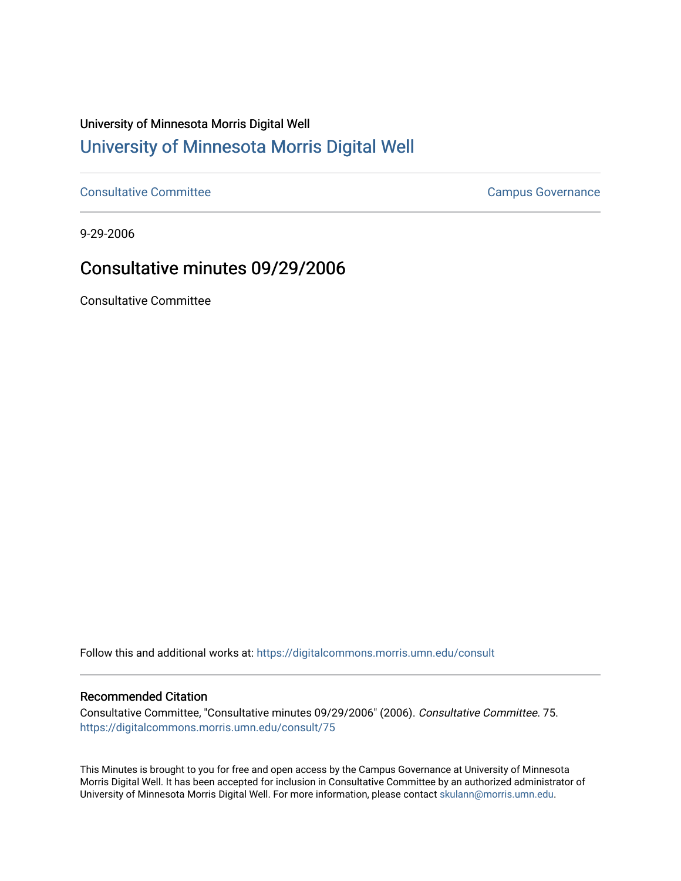## University of Minnesota Morris Digital Well [University of Minnesota Morris Digital Well](https://digitalcommons.morris.umn.edu/)

[Consultative Committee](https://digitalcommons.morris.umn.edu/consult) Committee Consultative Committee Consultative Committee Consultative Committee

9-29-2006

## Consultative minutes 09/29/2006

Consultative Committee

Follow this and additional works at: [https://digitalcommons.morris.umn.edu/consult](https://digitalcommons.morris.umn.edu/consult?utm_source=digitalcommons.morris.umn.edu%2Fconsult%2F75&utm_medium=PDF&utm_campaign=PDFCoverPages)

## Recommended Citation

Consultative Committee, "Consultative minutes 09/29/2006" (2006). Consultative Committee. 75. [https://digitalcommons.morris.umn.edu/consult/75](https://digitalcommons.morris.umn.edu/consult/75?utm_source=digitalcommons.morris.umn.edu%2Fconsult%2F75&utm_medium=PDF&utm_campaign=PDFCoverPages) 

This Minutes is brought to you for free and open access by the Campus Governance at University of Minnesota Morris Digital Well. It has been accepted for inclusion in Consultative Committee by an authorized administrator of University of Minnesota Morris Digital Well. For more information, please contact [skulann@morris.umn.edu](mailto:skulann@morris.umn.edu).